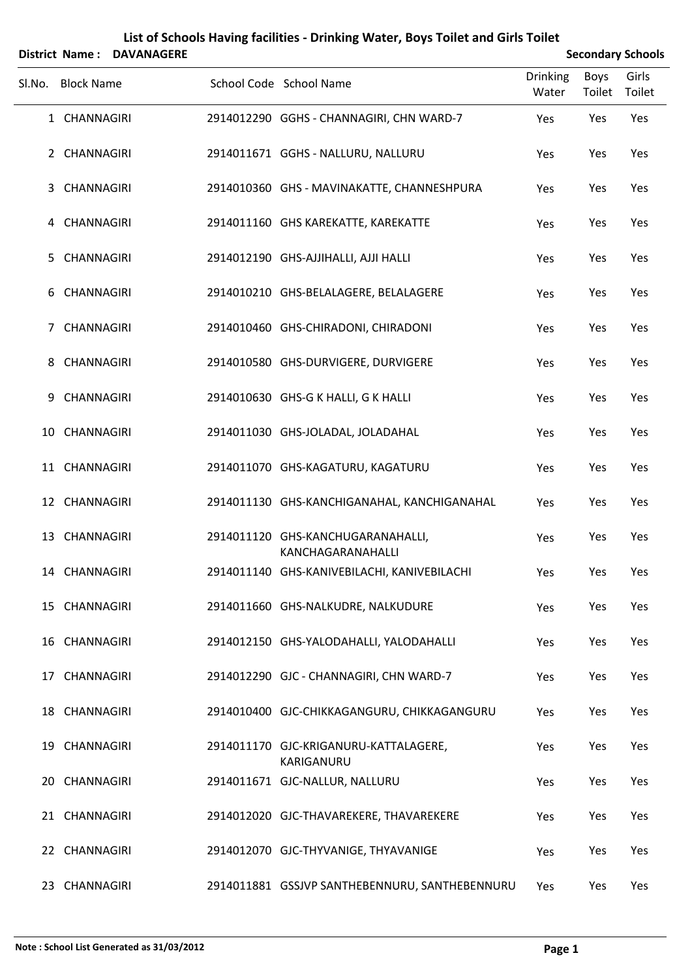|                | <b>District Name:</b> | <b>DAVANAGERE</b> |                                                        |                   |                       | <b>Secondary Schools</b> |
|----------------|-----------------------|-------------------|--------------------------------------------------------|-------------------|-----------------------|--------------------------|
| SI.No.         | <b>Block Name</b>     |                   | School Code School Name                                | Drinking<br>Water | <b>Boys</b><br>Toilet | Girls<br>Toilet          |
|                | 1 CHANNAGIRI          |                   | 2914012290 GGHS - CHANNAGIRI, CHN WARD-7               | Yes               | Yes                   | Yes                      |
|                | 2 CHANNAGIRI          |                   | 2914011671 GGHS - NALLURU, NALLURU                     | Yes               | Yes                   | Yes                      |
| 3              | <b>CHANNAGIRI</b>     |                   | 2914010360 GHS - MAVINAKATTE, CHANNESHPURA             | Yes               | Yes                   | Yes                      |
| 4              | CHANNAGIRI            |                   | 2914011160 GHS KAREKATTE, KAREKATTE                    | Yes               | Yes                   | Yes                      |
| 5.             | <b>CHANNAGIRI</b>     |                   | 2914012190 GHS-AJJIHALLI, AJJI HALLI                   | Yes               | Yes                   | Yes                      |
| 6              | <b>CHANNAGIRI</b>     |                   | 2914010210 GHS-BELALAGERE, BELALAGERE                  | Yes               | Yes                   | Yes                      |
| $\overline{7}$ | <b>CHANNAGIRI</b>     |                   | 2914010460 GHS-CHIRADONI, CHIRADONI                    | Yes               | Yes                   | Yes                      |
| 8              | <b>CHANNAGIRI</b>     |                   | 2914010580 GHS-DURVIGERE, DURVIGERE                    | Yes               | Yes                   | Yes                      |
| 9              | <b>CHANNAGIRI</b>     |                   | 2914010630 GHS-G K HALLI, G K HALLI                    | Yes               | Yes                   | Yes                      |
|                | 10 CHANNAGIRI         |                   | 2914011030 GHS-JOLADAL, JOLADAHAL                      | Yes               | Yes                   | Yes                      |
|                | 11 CHANNAGIRI         |                   | 2914011070 GHS-KAGATURU, KAGATURU                      | Yes               | Yes                   | Yes                      |
|                | 12 CHANNAGIRI         |                   | 2914011130 GHS-KANCHIGANAHAL, KANCHIGANAHAL            | Yes               | Yes                   | Yes                      |
| 13             | <b>CHANNAGIRI</b>     |                   | 2914011120 GHS-KANCHUGARANAHALLI,<br>KANCHAGARANAHALLI | Yes               | Yes                   | Yes                      |
|                | 14 CHANNAGIRI         |                   | 2914011140 GHS-KANIVEBILACHI, KANIVEBILACHI            | Yes               | Yes                   | Yes                      |
|                | 15 CHANNAGIRI         |                   | 2914011660 GHS-NALKUDRE, NALKUDURE                     | Yes               | Yes                   | Yes                      |
|                | 16 CHANNAGIRI         |                   | 2914012150 GHS-YALODAHALLI, YALODAHALLI                | Yes               | Yes                   | Yes                      |
|                | 17 CHANNAGIRI         |                   | 2914012290 GJC - CHANNAGIRI, CHN WARD-7                | Yes               | Yes                   | Yes                      |
|                | 18 CHANNAGIRI         |                   | 2914010400 GJC-CHIKKAGANGURU, CHIKKAGANGURU            | Yes               | Yes                   | Yes                      |
|                | 19 CHANNAGIRI         |                   | 2914011170 GJC-KRIGANURU-KATTALAGERE,<br>KARIGANURU    | Yes               | Yes                   | Yes                      |
|                | 20 CHANNAGIRI         |                   | 2914011671 GJC-NALLUR, NALLURU                         | Yes               | Yes                   | Yes                      |
|                | 21 CHANNAGIRI         |                   | 2914012020 GJC-THAVAREKERE, THAVAREKERE                | Yes               | Yes                   | Yes                      |
|                | 22 CHANNAGIRI         |                   | 2914012070 GJC-THYVANIGE, THYAVANIGE                   | Yes               | Yes                   | Yes                      |
|                | 23 CHANNAGIRI         |                   | 2914011881 GSSJVP SANTHEBENNURU, SANTHEBENNURU         | Yes               | Yes                   | Yes                      |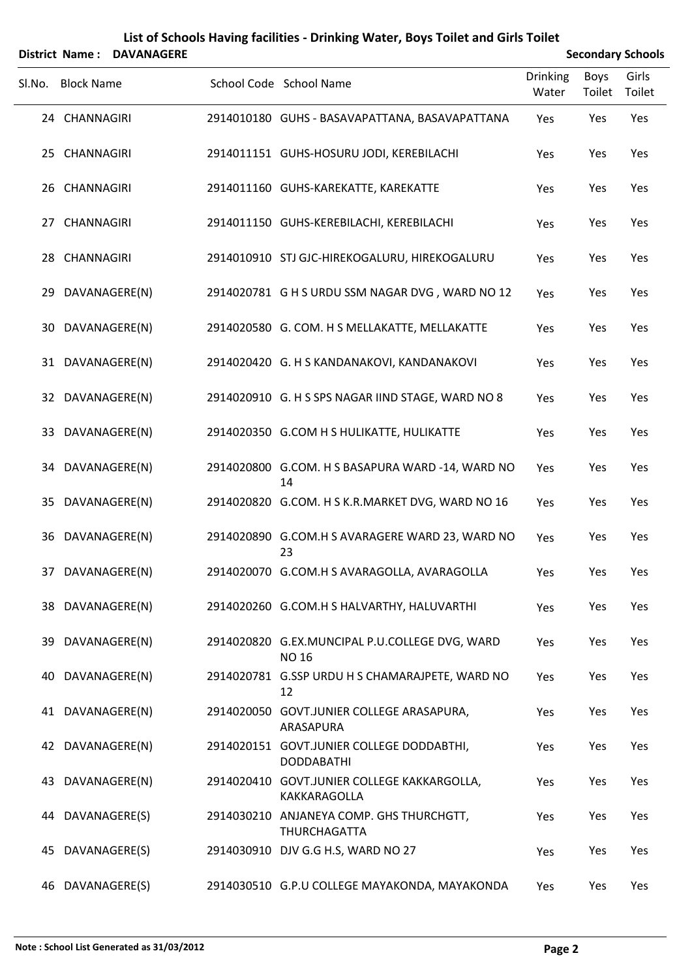|        | District Name:    | <b>DAVANAGERE</b> |                                                                    |                   | <b>Secondary Schools</b> |                 |
|--------|-------------------|-------------------|--------------------------------------------------------------------|-------------------|--------------------------|-----------------|
| Sl.No. | <b>Block Name</b> |                   | School Code School Name                                            | Drinking<br>Water | Boys<br>Toilet           | Girls<br>Toilet |
|        | 24 CHANNAGIRI     |                   | 2914010180 GUHS - BASAVAPATTANA, BASAVAPATTANA                     | Yes               | Yes                      | Yes             |
|        | 25 CHANNAGIRI     |                   | 2914011151 GUHS-HOSURU JODI, KEREBILACHI                           | Yes               | Yes                      | Yes             |
|        | 26 CHANNAGIRI     |                   | 2914011160 GUHS-KAREKATTE, KAREKATTE                               | Yes               | Yes                      | Yes             |
|        | 27 CHANNAGIRI     |                   | 2914011150 GUHS-KEREBILACHI, KEREBILACHI                           | Yes               | Yes                      | Yes             |
|        | 28 CHANNAGIRI     |                   | 2914010910 STJ GJC-HIREKOGALURU, HIREKOGALURU                      | Yes               | Yes                      | Yes             |
|        | 29 DAVANAGERE(N)  |                   | 2914020781 G H S URDU SSM NAGAR DVG, WARD NO 12                    | Yes               | Yes                      | Yes             |
|        | 30 DAVANAGERE(N)  |                   | 2914020580 G. COM. H S MELLAKATTE, MELLAKATTE                      | Yes               | Yes                      | Yes             |
|        | 31 DAVANAGERE(N)  |                   | 2914020420 G. H S KANDANAKOVI, KANDANAKOVI                         | Yes               | Yes                      | Yes             |
|        | 32 DAVANAGERE(N)  |                   | 2914020910 G. H S SPS NAGAR IIND STAGE, WARD NO 8                  | Yes               | Yes                      | Yes             |
|        | 33 DAVANAGERE(N)  |                   | 2914020350 G.COM H S HULIKATTE, HULIKATTE                          | Yes               | Yes                      | Yes             |
|        | 34 DAVANAGERE(N)  |                   | 2914020800 G.COM. H S BASAPURA WARD -14, WARD NO<br>14             | Yes               | Yes                      | Yes             |
|        | 35 DAVANAGERE(N)  |                   | 2914020820 G.COM. H S K.R.MARKET DVG, WARD NO 16                   | Yes               | Yes                      | Yes             |
|        | 36 DAVANAGERE(N)  |                   | 2914020890 G.COM.H S AVARAGERE WARD 23, WARD NO<br>23              | Yes               | Yes                      | Yes             |
|        | 37 DAVANAGERE(N)  |                   | 2914020070 G.COM.H S AVARAGOLLA, AVARAGOLLA                        | Yes               | Yes                      | Yes             |
|        | 38 DAVANAGERE(N)  |                   | 2914020260 G.COM.H S HALVARTHY, HALUVARTHI                         | Yes               | Yes                      | Yes             |
|        | 39 DAVANAGERE(N)  |                   | 2914020820 G.EX.MUNCIPAL P.U.COLLEGE DVG, WARD<br><b>NO 16</b>     | Yes               | Yes                      | Yes             |
|        | 40 DAVANAGERE(N)  |                   | 2914020781 G.SSP URDU H S CHAMARAJPETE, WARD NO<br>12              | Yes               | Yes                      | Yes             |
|        | 41 DAVANAGERE(N)  |                   | 2914020050 GOVT.JUNIER COLLEGE ARASAPURA,<br>ARASAPURA             | Yes               | Yes                      | Yes             |
|        | 42 DAVANAGERE(N)  |                   | 2914020151 GOVT.JUNIER COLLEGE DODDABTHI,<br><b>DODDABATHI</b>     | Yes               | Yes                      | Yes             |
|        | 43 DAVANAGERE(N)  |                   | 2914020410 GOVT.JUNIER COLLEGE KAKKARGOLLA,<br><b>KAKKARAGOLLA</b> | Yes               | Yes                      | Yes             |
|        | 44 DAVANAGERE(S)  |                   | 2914030210 ANJANEYA COMP. GHS THURCHGTT,<br><b>THURCHAGATTA</b>    | Yes               | Yes                      | Yes             |
| 45     | DAVANAGERE(S)     |                   | 2914030910 DJV G.G H.S, WARD NO 27                                 | Yes               | Yes                      | Yes             |
|        | 46 DAVANAGERE(S)  |                   | 2914030510 G.P.U COLLEGE MAYAKONDA, MAYAKONDA                      | Yes               | Yes                      | Yes             |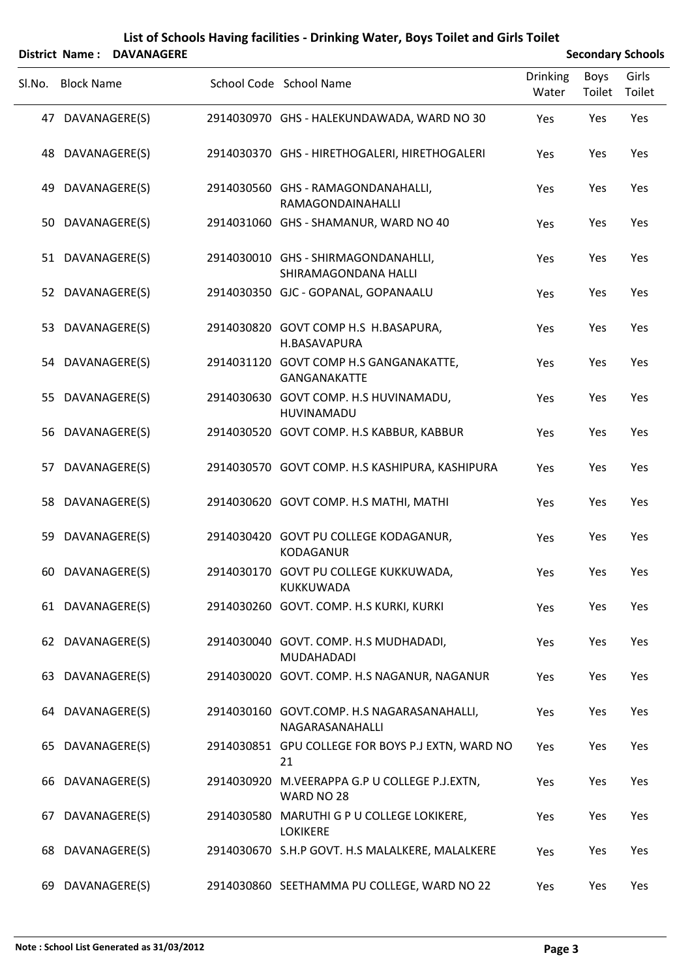|        |                   | <b>District Name: DAVANAGERE</b> |                                                               | <b>Secondary Schools</b> |                |                 |  |  |
|--------|-------------------|----------------------------------|---------------------------------------------------------------|--------------------------|----------------|-----------------|--|--|
| SI.No. | <b>Block Name</b> |                                  | School Code School Name                                       | <b>Drinking</b><br>Water | Boys<br>Toilet | Girls<br>Toilet |  |  |
|        | 47 DAVANAGERE(S)  |                                  | 2914030970 GHS - HALEKUNDAWADA, WARD NO 30                    | Yes                      | Yes            | Yes             |  |  |
| 48     |                   | DAVANAGERE(S)                    | 2914030370 GHS - HIRETHOGALERI, HIRETHOGALERI                 | Yes                      | Yes            | Yes             |  |  |
| 49     | DAVANAGERE(S)     |                                  | 2914030560 GHS - RAMAGONDANAHALLI,<br>RAMAGONDAINAHALLI       | Yes                      | Yes            | Yes             |  |  |
|        | 50 DAVANAGERE(S)  |                                  | 2914031060 GHS - SHAMANUR, WARD NO 40                         | Yes                      | Yes            | Yes             |  |  |
|        | 51 DAVANAGERE(S)  |                                  | 2914030010 GHS - SHIRMAGONDANAHLLI,<br>SHIRAMAGONDANA HALLI   | Yes                      | Yes            | Yes             |  |  |
|        | 52 DAVANAGERE(S)  |                                  | 2914030350 GJC - GOPANAL, GOPANAALU                           | Yes                      | Yes            | Yes             |  |  |
|        | 53 DAVANAGERE(S)  |                                  | 2914030820 GOVT COMP H.S H.BASAPURA,<br>H.BASAVAPURA          | Yes                      | Yes            | Yes             |  |  |
|        | 54 DAVANAGERE(S)  |                                  | 2914031120 GOVT COMP H.S GANGANAKATTE,<br><b>GANGANAKATTE</b> | Yes                      | Yes            | Yes             |  |  |
|        | 55 DAVANAGERE(S)  |                                  | 2914030630 GOVT COMP. H.S HUVINAMADU,<br>HUVINAMADU           | Yes                      | Yes            | Yes             |  |  |
|        | 56 DAVANAGERE(S)  |                                  | 2914030520 GOVT COMP. H.S KABBUR, KABBUR                      | Yes                      | Yes            | Yes             |  |  |
|        | 57 DAVANAGERE(S)  |                                  | 2914030570 GOVT COMP. H.S KASHIPURA, KASHIPURA                | Yes                      | Yes            | Yes             |  |  |
|        | 58 DAVANAGERE(S)  |                                  | 2914030620 GOVT COMP. H.S MATHI, MATHI                        | Yes                      | Yes            | Yes             |  |  |
| 59     |                   | DAVANAGERE(S)                    | 2914030420 GOVT PU COLLEGE KODAGANUR,<br><b>KODAGANUR</b>     | Yes                      | Yes            | Yes             |  |  |
|        | 60 DAVANAGERE(S)  |                                  | 2914030170 GOVT PU COLLEGE KUKKUWADA,<br>KUKKUWADA            | Yes                      | Yes            | Yes             |  |  |
|        | 61 DAVANAGERE(S)  |                                  | 2914030260 GOVT. COMP. H.S KURKI, KURKI                       | Yes                      | Yes            | Yes             |  |  |
|        | 62 DAVANAGERE(S)  |                                  | 2914030040 GOVT. COMP. H.S MUDHADADI,<br><b>MUDAHADADI</b>    | Yes                      | Yes            | Yes             |  |  |
|        | 63 DAVANAGERE(S)  |                                  | 2914030020 GOVT. COMP. H.S NAGANUR, NAGANUR                   | Yes                      | Yes            | Yes             |  |  |
|        | 64 DAVANAGERE(S)  |                                  | 2914030160 GOVT.COMP. H.S NAGARASANAHALLI,<br>NAGARASANAHALLI | Yes                      | Yes            | Yes             |  |  |
|        | 65 DAVANAGERE(S)  |                                  | 2914030851 GPU COLLEGE FOR BOYS P.J EXTN, WARD NO<br>21       | Yes                      | Yes            | Yes             |  |  |
|        | 66 DAVANAGERE(S)  |                                  | 2914030920 M.VEERAPPA G.P U COLLEGE P.J.EXTN,<br>WARD NO 28   | Yes                      | Yes            | Yes             |  |  |
|        | 67 DAVANAGERE(S)  |                                  | 2914030580 MARUTHI G P U COLLEGE LOKIKERE,<br><b>LOKIKERE</b> | Yes                      | Yes            | Yes             |  |  |
|        | 68 DAVANAGERE(S)  |                                  | 2914030670 S.H.P GOVT. H.S MALALKERE, MALALKERE               | Yes                      | Yes            | Yes             |  |  |
|        | 69 DAVANAGERE(S)  |                                  | 2914030860 SEETHAMMA PU COLLEGE, WARD NO 22                   | Yes                      | Yes            | Yes             |  |  |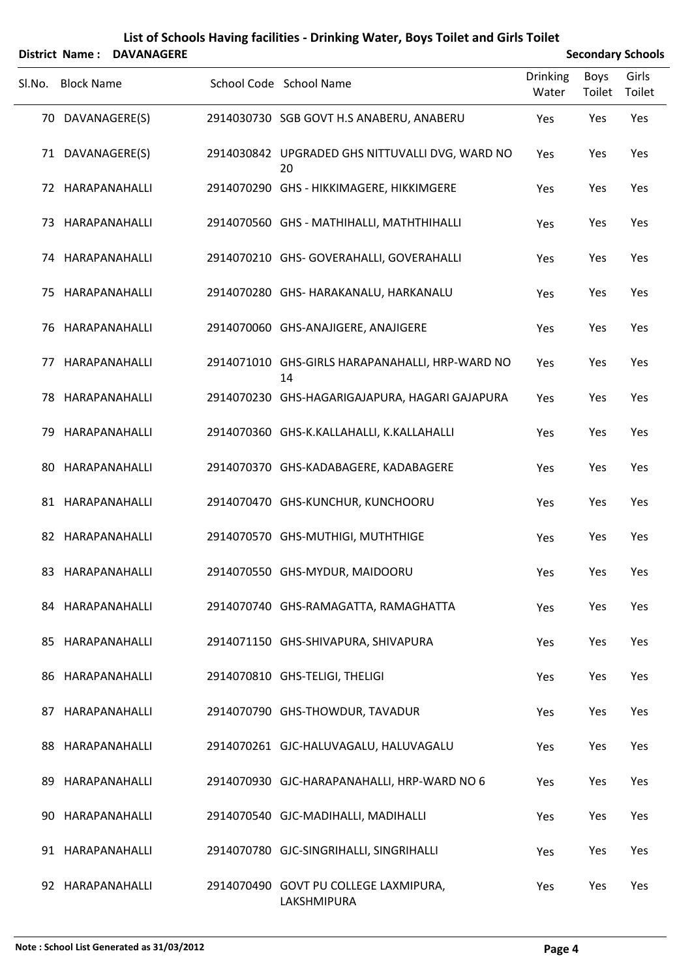|        |                   | District Name: DAVANAGERE |                                                       |                          |                | <b>Secondary Schools</b> |
|--------|-------------------|---------------------------|-------------------------------------------------------|--------------------------|----------------|--------------------------|
| Sl.No. | <b>Block Name</b> |                           | School Code School Name                               | <b>Drinking</b><br>Water | Boys<br>Toilet | Girls<br>Toilet          |
|        | 70 DAVANAGERE(S)  |                           | 2914030730 SGB GOVT H.S ANABERU, ANABERU              | Yes                      | Yes            | Yes                      |
|        | 71 DAVANAGERE(S)  |                           | 2914030842 UPGRADED GHS NITTUVALLI DVG, WARD NO<br>20 | Yes                      | Yes            | Yes                      |
|        | 72 HARAPANAHALLI  |                           | 2914070290 GHS - HIKKIMAGERE, HIKKIMGERE              | Yes                      | Yes            | Yes                      |
|        | 73 HARAPANAHALLI  |                           | 2914070560 GHS - MATHIHALLI, MATHTHIHALLI             | Yes                      | Yes            | Yes                      |
|        | 74 HARAPANAHALLI  |                           | 2914070210 GHS- GOVERAHALLI, GOVERAHALLI              | Yes                      | Yes            | Yes                      |
|        | 75 HARAPANAHALLI  |                           | 2914070280 GHS- HARAKANALU, HARKANALU                 | Yes                      | Yes            | Yes                      |
|        | 76 HARAPANAHALLI  |                           | 2914070060 GHS-ANAJIGERE, ANAJIGERE                   | Yes                      | Yes            | Yes                      |
| 77     |                   | HARAPANAHALLI             | 2914071010 GHS-GIRLS HARAPANAHALLI, HRP-WARD NO<br>14 | Yes                      | Yes            | Yes                      |
|        | 78 HARAPANAHALLI  |                           | 2914070230 GHS-HAGARIGAJAPURA, HAGARI GAJAPURA        | Yes                      | Yes            | Yes                      |
| 79     |                   | HARAPANAHALLI             | 2914070360 GHS-K.KALLAHALLI, K.KALLAHALLI             | Yes                      | Yes            | Yes                      |
|        | 80 HARAPANAHALLI  |                           | 2914070370 GHS-KADABAGERE, KADABAGERE                 | Yes                      | Yes            | Yes                      |
|        | 81 HARAPANAHALLI  |                           | 2914070470 GHS-KUNCHUR, KUNCHOORU                     | Yes                      | Yes            | Yes                      |
|        | 82 HARAPANAHALLI  |                           | 2914070570 GHS-MUTHIGI, MUTHTHIGE                     | Yes                      | Yes            | Yes                      |
|        |                   | 83 HARAPANAHALLI          | 2914070550 GHS-MYDUR, MAIDOORU                        | Yes                      | Yes            | Yes                      |
|        | 84 HARAPANAHALLI  |                           | 2914070740 GHS-RAMAGATTA, RAMAGHATTA                  | Yes                      | Yes            | Yes                      |
|        | 85 HARAPANAHALLI  |                           | 2914071150 GHS-SHIVAPURA, SHIVAPURA                   | Yes                      | Yes            | Yes                      |
|        | 86 HARAPANAHALLI  |                           | 2914070810 GHS-TELIGI, THELIGI                        | Yes                      | Yes            | Yes                      |
|        | 87 HARAPANAHALLI  |                           | 2914070790 GHS-THOWDUR, TAVADUR                       | Yes                      | Yes            | Yes                      |
|        | 88 HARAPANAHALLI  |                           | 2914070261 GJC-HALUVAGALU, HALUVAGALU                 | Yes                      | Yes            | Yes                      |
|        | 89 HARAPANAHALLI  |                           | 2914070930 GJC-HARAPANAHALLI, HRP-WARD NO 6           | Yes                      | Yes            | Yes                      |
| 90     | HARAPANAHALLI     |                           | 2914070540 GJC-MADIHALLI, MADIHALLI                   | Yes                      | Yes            | Yes                      |
|        | 91 HARAPANAHALLI  |                           | 2914070780 GJC-SINGRIHALLI, SINGRIHALLI               | Yes                      | Yes            | Yes                      |
|        | 92 HARAPANAHALLI  |                           | 2914070490 GOVT PU COLLEGE LAXMIPURA,<br>LAKSHMIPURA  | Yes                      | Yes            | Yes                      |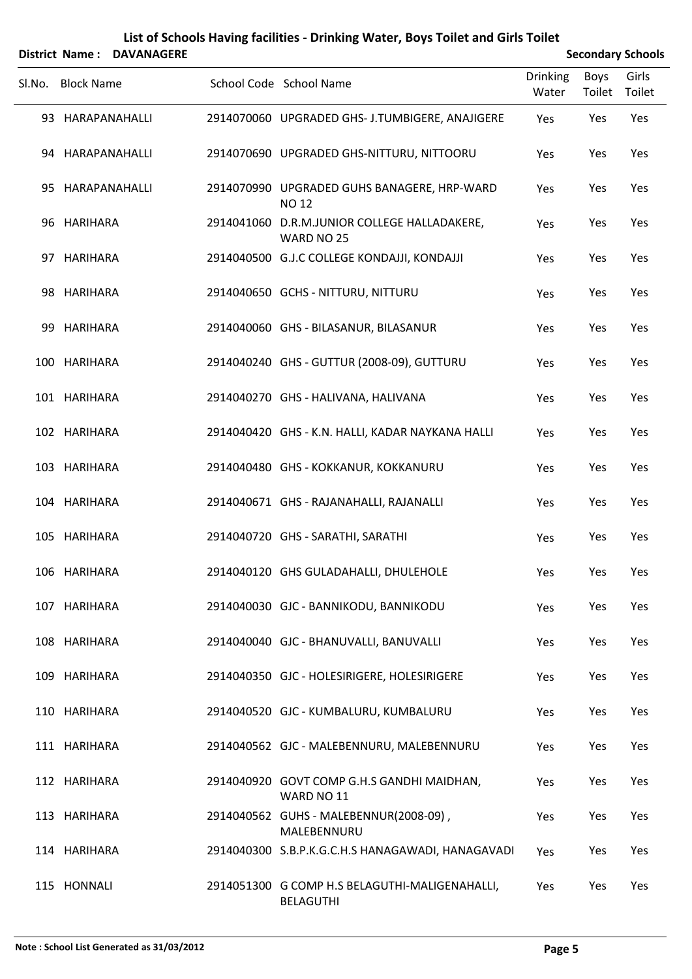#### **List of Schools Having facilities ‐ Drinking Water, Boys Toilet and Girls Toilet** Sl.No. Block Name School Code School Name Drinking Water Boys Toilet Girls Toilet **District Name: DAVANAGERE Secondary** Schools

| 93 HARAPANAHALLI | 2914070060 UPGRADED GHS- J.TUMBIGERE, ANAJIGERE                    | Yes | Yes | Yes |
|------------------|--------------------------------------------------------------------|-----|-----|-----|
| 94 HARAPANAHALLI | 2914070690 UPGRADED GHS-NITTURU, NITTOORU                          | Yes | Yes | Yes |
| 95 HARAPANAHALLI | 2914070990 UPGRADED GUHS BANAGERE, HRP-WARD<br><b>NO 12</b>        | Yes | Yes | Yes |
| 96 HARIHARA      | 2914041060 D.R.M.JUNIOR COLLEGE HALLADAKERE,<br>WARD NO 25         | Yes | Yes | Yes |
| 97 HARIHARA      | 2914040500 G.J.C COLLEGE KONDAJJI, KONDAJJI                        | Yes | Yes | Yes |
| 98 HARIHARA      | 2914040650 GCHS - NITTURU, NITTURU                                 | Yes | Yes | Yes |
| 99 HARIHARA      | 2914040060 GHS - BILASANUR, BILASANUR                              | Yes | Yes | Yes |
| 100 HARIHARA     | 2914040240 GHS - GUTTUR (2008-09), GUTTURU                         | Yes | Yes | Yes |
| 101 HARIHARA     | 2914040270 GHS - HALIVANA, HALIVANA                                | Yes | Yes | Yes |
| 102 HARIHARA     | 2914040420 GHS - K.N. HALLI, KADAR NAYKANA HALLI                   | Yes | Yes | Yes |
| 103 HARIHARA     | 2914040480 GHS - KOKKANUR, KOKKANURU                               | Yes | Yes | Yes |
| 104 HARIHARA     | 2914040671 GHS - RAJANAHALLI, RAJANALLI                            | Yes | Yes | Yes |
| 105 HARIHARA     | 2914040720 GHS - SARATHI, SARATHI                                  | Yes | Yes | Yes |
| 106 HARIHARA     | 2914040120 GHS GULADAHALLI, DHULEHOLE                              | Yes | Yes | Yes |
| 107 HARIHARA     | 2914040030 GJC - BANNIKODU, BANNIKODU                              | Yes | Yes | Yes |
| 108 HARIHARA     | 2914040040 GJC - BHANUVALLI, BANUVALLI                             | Yes | Yes | Yes |
| 109 HARIHARA     | 2914040350 GJC - HOLESIRIGERE, HOLESIRIGERE                        | Yes | Yes | Yes |
| 110 HARIHARA     | 2914040520 GJC - KUMBALURU, KUMBALURU                              | Yes | Yes | Yes |
| 111 HARIHARA     | 2914040562 GJC - MALEBENNURU, MALEBENNURU                          | Yes | Yes | Yes |
| 112 HARIHARA     | 2914040920 GOVT COMP G.H.S GANDHI MAIDHAN,<br>WARD NO 11           | Yes | Yes | Yes |
| 113 HARIHARA     | 2914040562 GUHS - MALEBENNUR(2008-09),<br>MALEBENNURU              | Yes | Yes | Yes |
| 114 HARIHARA     | 2914040300 S.B.P.K.G.C.H.S HANAGAWADI, HANAGAVADI                  | Yes | Yes | Yes |
| 115 HONNALI      | 2914051300 G COMP H.S BELAGUTHI-MALIGENAHALLI,<br><b>BELAGUTHI</b> | Yes | Yes | Yes |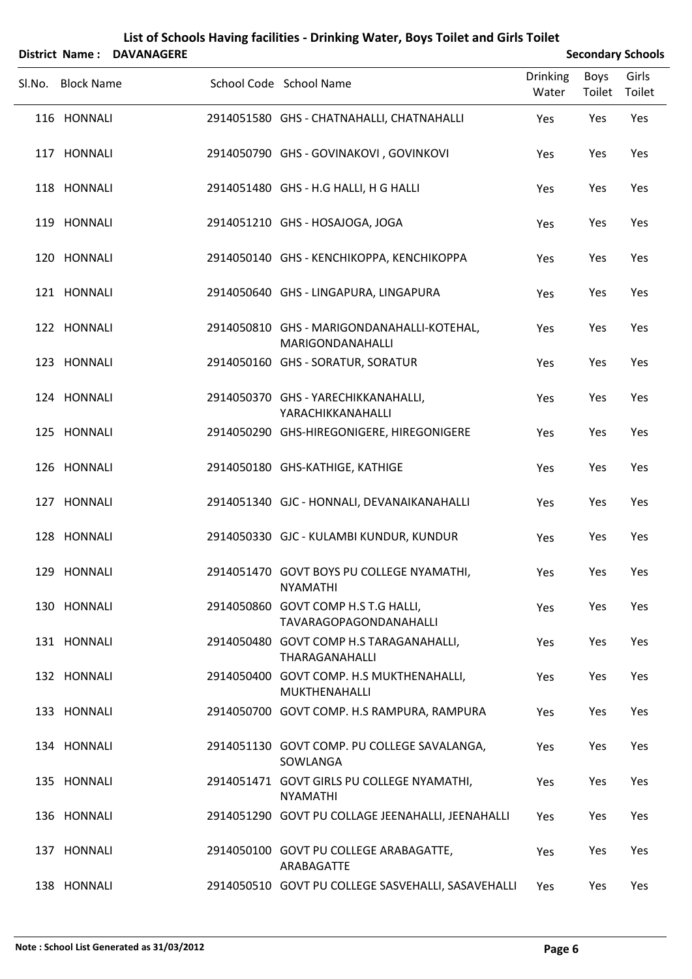| <b>District Name:</b> | <b>DAVANAGERE</b> |                                                                |                          |                | <b>Secondary Schools</b> |
|-----------------------|-------------------|----------------------------------------------------------------|--------------------------|----------------|--------------------------|
| Sl.No. Block Name     |                   | School Code School Name                                        | <b>Drinking</b><br>Water | Boys<br>Toilet | Girls<br>Toilet          |
| 116 HONNALI           |                   | 2914051580 GHS - CHATNAHALLI, CHATNAHALLI                      | Yes                      | Yes            | Yes                      |
| 117 HONNALI           |                   | 2914050790 GHS - GOVINAKOVI, GOVINKOVI                         | Yes                      | Yes            | Yes                      |
| 118 HONNALI           |                   | 2914051480 GHS - H.G HALLI, H G HALLI                          | Yes                      | Yes            | Yes                      |
| 119 HONNALI           |                   | 2914051210 GHS - HOSAJOGA, JOGA                                | Yes                      | Yes            | Yes                      |
| 120 HONNALI           |                   | 2914050140 GHS - KENCHIKOPPA, KENCHIKOPPA                      | Yes                      | Yes            | Yes                      |
| 121 HONNALI           |                   | 2914050640 GHS - LINGAPURA, LINGAPURA                          | Yes                      | Yes            | Yes                      |
| 122 HONNALI           |                   | 2914050810 GHS - MARIGONDANAHALLI-KOTEHAL,<br>MARIGONDANAHALLI | Yes                      | Yes            | Yes                      |
| 123 HONNALI           |                   | 2914050160 GHS - SORATUR, SORATUR                              | Yes                      | Yes            | Yes                      |
| 124 HONNALI           |                   | 2914050370 GHS - YARECHIKKANAHALLI,<br>YARACHIKKANAHALLI       | Yes                      | Yes            | Yes                      |
| 125 HONNALI           |                   | 2914050290 GHS-HIREGONIGERE, HIREGONIGERE                      | Yes                      | Yes            | Yes                      |
| 126 HONNALI           |                   | 2914050180 GHS-KATHIGE, KATHIGE                                | Yes                      | Yes            | Yes                      |
| 127 HONNALI           |                   | 2914051340 GJC - HONNALI, DEVANAIKANAHALLI                     | Yes                      | Yes            | Yes                      |
| 128 HONNALI           |                   | 2914050330 GJC - KULAMBI KUNDUR, KUNDUR                        | Yes                      | Yes            | Yes                      |
| 129 HONNALI           |                   | 2914051470 GOVT BOYS PU COLLEGE NYAMATHI,<br><b>NYAMATHI</b>   | Yes                      | Yes            | Yes                      |
| 130 HONNALI           |                   | 2914050860 GOVT COMP H.S T.G HALLI,<br>TAVARAGOPAGONDANAHALLI  | Yes                      | Yes            | Yes                      |
| 131 HONNALI           |                   | 2914050480 GOVT COMP H.S TARAGANAHALLI,<br>THARAGANAHALLI      | Yes                      | Yes            | Yes                      |
| 132 HONNALI           |                   | 2914050400 GOVT COMP. H.S MUKTHENAHALLI,<br>MUKTHENAHALLI      | Yes                      | Yes            | Yes                      |
| 133 HONNALI           |                   | 2914050700 GOVT COMP. H.S RAMPURA, RAMPURA                     | Yes                      | Yes            | Yes                      |
| 134 HONNALI           |                   | 2914051130 GOVT COMP. PU COLLEGE SAVALANGA,<br>SOWLANGA        | Yes                      | Yes            | Yes                      |
| 135 HONNALI           |                   | 2914051471 GOVT GIRLS PU COLLEGE NYAMATHI,<br><b>NYAMATHI</b>  | Yes                      | Yes            | Yes                      |
| 136 HONNALI           |                   | 2914051290 GOVT PU COLLAGE JEENAHALLI, JEENAHALLI              | Yes                      | Yes            | Yes                      |
| 137 HONNALI           |                   | 2914050100 GOVT PU COLLEGE ARABAGATTE,<br>ARABAGATTE           | Yes                      | Yes            | Yes                      |
| 138 HONNALI           |                   | 2914050510 GOVT PU COLLEGE SASVEHALLI, SASAVEHALLI             | Yes                      | Yes            | Yes                      |